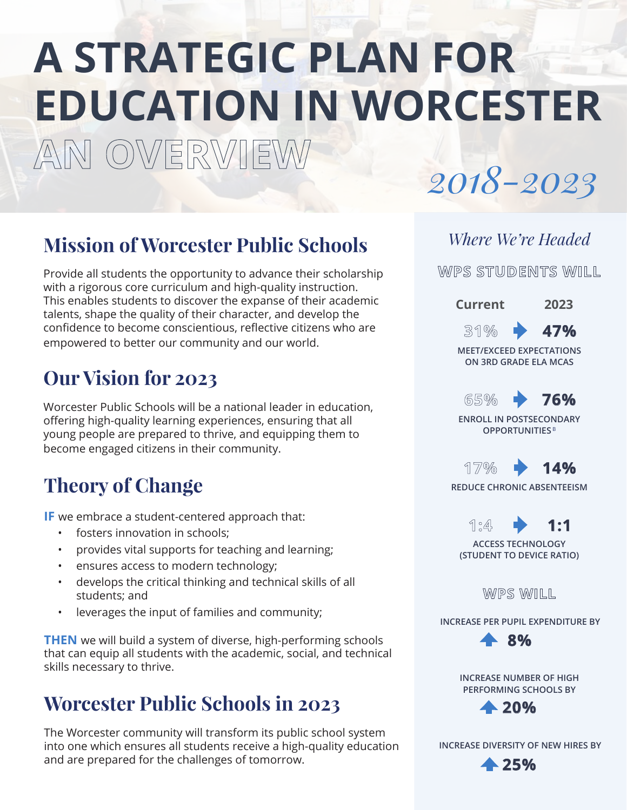# **A STRATEGIC PLAN FOR EDUCATION IN WORCESTER** AN OVERWIEW *2018-2023*

# **Mission of Worcester Public Schools**

Provide all students the opportunity to advance their scholarship with a rigorous core curriculum and high-quality instruction. This enables students to discover the expanse of their academic talents, shape the quality of their character, and develop the confidence to become conscientious, reflective citizens who are empowered to better our community and our world.

# **Our Vision for 2023**

Worcester Public Schools will be a national leader in education, offering high-quality learning experiences, ensuring that all young people are prepared to thrive, and equipping them to become engaged citizens in their community.

# **Theory of Change**

**IF** we embrace a student-centered approach that:

- fosters innovation in schools;
- provides vital supports for teaching and learning;
- ensures access to modern technology;
- develops the critical thinking and technical skills of all students; and
- leverages the input of families and community;

**THEN** we will build a system of diverse, high-performing schools that can equip all students with the academic, social, and technical skills necessary to thrive.

# **Worcester Public Schools in 2023**

The Worcester community will transform its public school system into one which ensures all students receive a high-quality education and are prepared for the challenges of tomorrow.

## *Where We're Headed*

WPS STUDENTS WILL





**OPPORTUNITIES** <sup>B</sup>



**REDUCE CHRONIC ABSENTEEISM**



**ACCESS TECHNOLOGY (STUDENT TO DEVICE RATIO)**

WPS WILL

**INCREASE PER PUPIL EXPENDITURE BY**



**INCREASE NUMBER OF HIGH PERFORMING SCHOOLS BY**



**INCREASE DIVERSITY OF NEW HIRES BY**